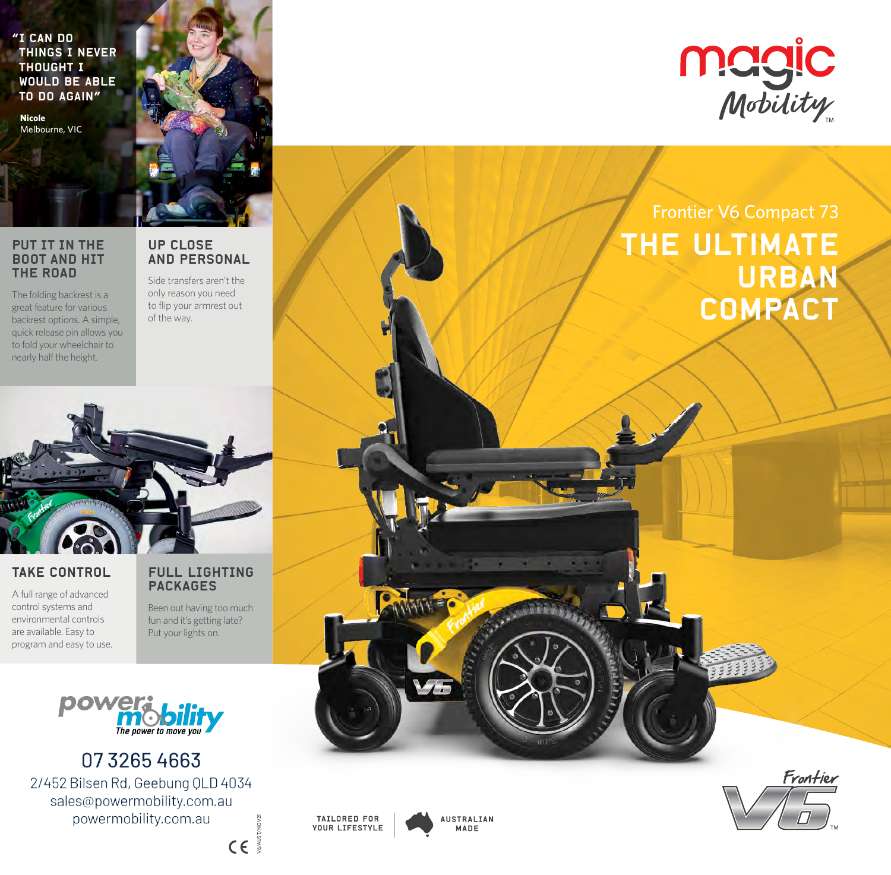"I can do things I never thought I would be able to do again"

**Nicole** Melbourne, VIC



### PUT IT IN THE BOOT AND HIT THE ROAD

AND PERSONAL Side transfers aren't the

UP CLOSE

The folding backrest is a great feature for various backrest options. A simple, quick release pin allows you to fold your wheelchair to nearly half the height.

only reason you need to flip your armrest out of the way.



### TAKE CONTROL

A full range of advanced control systems and environmental controls are available. Easy to program and easy to use.

### FULL LIGHTING PACKAGES

Been out having too much fun and it's getting late? Put your lights on.

V6/AUST/NOV21

 $C\in \mathbb{R}$ 



0732654663 2/452 Bilsen Rd, Geebung QLD 4034 sales@powermobility.com.au powermobility.com.au



MADE



companies to the companies of



Frontier V6 Compact 73

## The Ultimate **URBAN COMPACT**